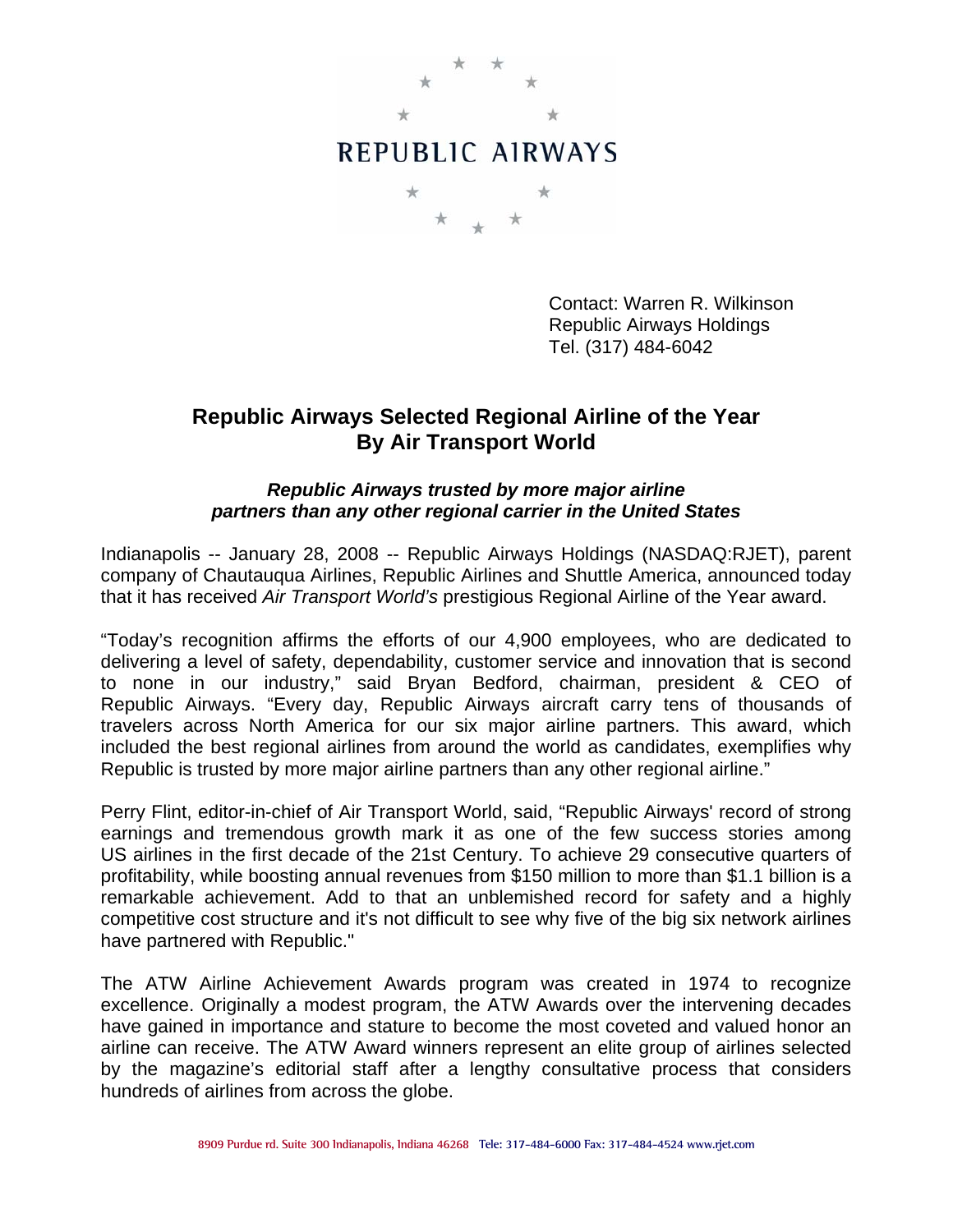

Contact: Warren R. Wilkinson Republic Airways Holdings Tel. (317) 484-6042

## **Republic Airways Selected Regional Airline of the Year By Air Transport World**

## *Republic Airways trusted by more major airline partners than any other regional carrier in the United States*

Indianapolis -- January 28, 2008 -- Republic Airways Holdings (NASDAQ:RJET), parent company of Chautauqua Airlines, Republic Airlines and Shuttle America, announced today that it has received *Air Transport World's* prestigious Regional Airline of the Year award.

"Today's recognition affirms the efforts of our 4,900 employees, who are dedicated to delivering a level of safety, dependability, customer service and innovation that is second to none in our industry," said Bryan Bedford, chairman, president & CEO of Republic Airways. "Every day, Republic Airways aircraft carry tens of thousands of travelers across North America for our six major airline partners. This award, which included the best regional airlines from around the world as candidates, exemplifies why Republic is trusted by more major airline partners than any other regional airline."

Perry Flint, editor-in-chief of Air Transport World, said, "Republic Airways' record of strong earnings and tremendous growth mark it as one of the few success stories among US airlines in the first decade of the 21st Century. To achieve 29 consecutive quarters of profitability, while boosting annual revenues from \$150 million to more than \$1.1 billion is a remarkable achievement. Add to that an unblemished record for safety and a highly competitive cost structure and it's not difficult to see why five of the big six network airlines have partnered with Republic."

The ATW Airline Achievement Awards program was created in 1974 to recognize excellence. Originally a modest program, the ATW Awards over the intervening decades have gained in importance and stature to become the most coveted and valued honor an airline can receive. The ATW Award winners represent an elite group of airlines selected by the magazine's editorial staff after a lengthy consultative process that considers hundreds of airlines from across the globe.